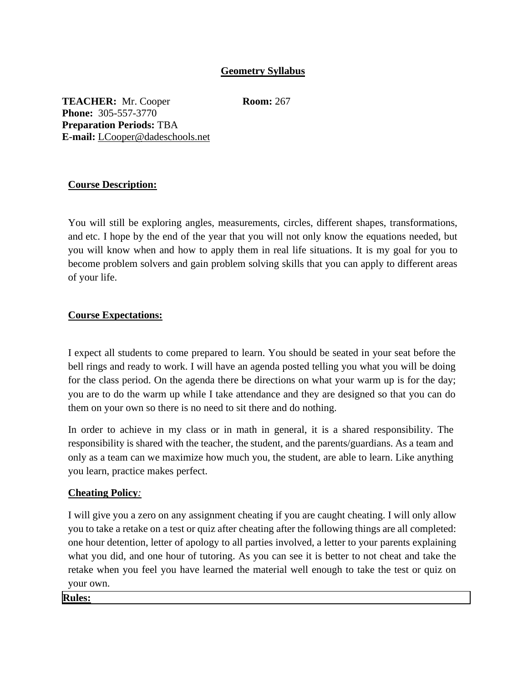## **Geometry Syllabus**

**TEACHER:** Mr. Cooper **Room:** 267 **Phone:** 305-557-3770 **Preparation Periods:** TBA **E-mail:** LCooper@dadeschools.net

## **Course Description:**

You will still be exploring angles, measurements, circles, different shapes, transformations, and etc. I hope by the end of the year that you will not only know the equations needed, but you will know when and how to apply them in real life situations. It is my goal for you to become problem solvers and gain problem solving skills that you can apply to different areas of your life.

## **Course Expectations:**

I expect all students to come prepared to learn. You should be seated in your seat before the bell rings and ready to work. I will have an agenda posted telling you what you will be doing for the class period. On the agenda there be directions on what your warm up is for the day; you are to do the warm up while I take attendance and they are designed so that you can do them on your own so there is no need to sit there and do nothing.

In order to achieve in my class or in math in general, it is a shared responsibility. The responsibility is shared with the teacher, the student, and the parents/guardians. As a team and only as a team can we maximize how much you, the student, are able to learn. Like anything you learn, practice makes perfect.

#### **Cheating Policy***:*

I will give you a zero on any assignment cheating if you are caught cheating. I will only allow you to take a retake on a test or quiz after cheating after the following things are all completed: one hour detention, letter of apology to all parties involved, a letter to your parents explaining what you did, and one hour of tutoring. As you can see it is better to not cheat and take the retake when you feel you have learned the material well enough to take the test or quiz on your own.

**Rules:**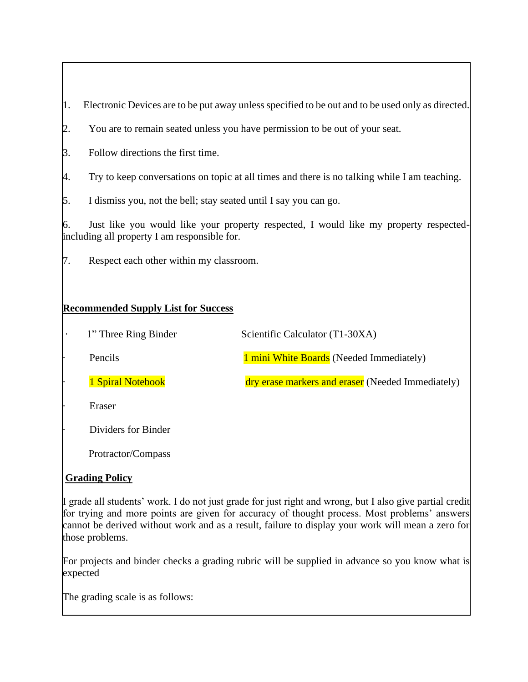1. Electronic Devices are to be put away unless specified to be out and to be used only as directed.

- 2. You are to remain seated unless you have permission to be out of your seat.
- 3. Follow directions the first time.
- 4. Try to keep conversations on topic at all times and there is no talking while I am teaching.
- 5. I dismiss you, not the bell; stay seated until I say you can go.

6. Just like you would like your property respected, I would like my property respectedincluding all property I am responsible for.

7. Respect each other within my classroom.

## **Recommended Supply List for Success**

| $\bullet$ | 1" Three Ring Binder | Scientific Calculator (T1-30XA)                   |
|-----------|----------------------|---------------------------------------------------|
| ٠         | Pencils              | 1 mini White Boards (Needed Immediately)          |
|           | 1 Spiral Notebook    | dry erase markers and eraser (Needed Immediately) |
| ٠         | Eraser               |                                                   |
|           | Dividers for Binder  |                                                   |

Protractor/Compass

## **Grading Policy**

I grade all students' work. I do not just grade for just right and wrong, but I also give partial credit for trying and more points are given for accuracy of thought process. Most problems' answers cannot be derived without work and as a result, failure to display your work will mean a zero for those problems.

For projects and binder checks a grading rubric will be supplied in advance so you know what is expected

The grading scale is as follows: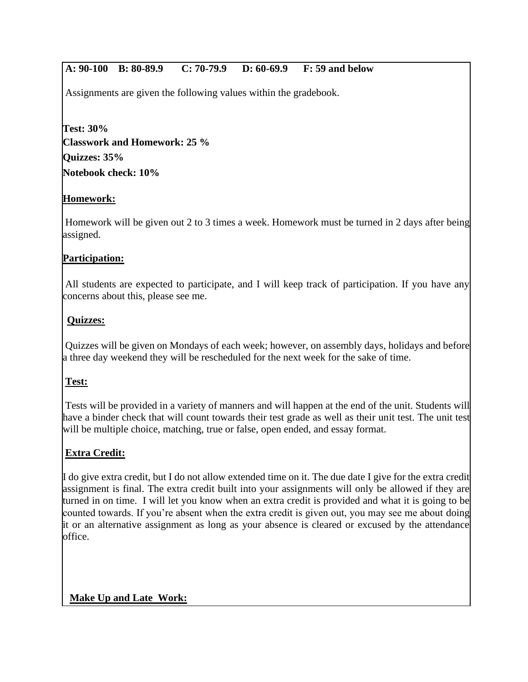# **A: 90-100 B: 80-89.9 C: 70-79.9 D: 60-69.9 F: 59 and below**

Assignments are given the following values within the gradebook.

**Test: 30% Classwork and Homework: 25 % Quizzes: 35% Notebook check: 10%**

# **Homework:**

Homework will be given out 2 to 3 times a week. Homework must be turned in 2 days after being assigned.

## **Participation:**

All students are expected to participate, and I will keep track of participation. If you have any concerns about this, please see me.

## **Quizzes:**

Quizzes will be given on Mondays of each week; however, on assembly days, holidays and before a three day weekend they will be rescheduled for the next week for the sake of time.

## **Test:**

Tests will be provided in a variety of manners and will happen at the end of the unit. Students will have a binder check that will count towards their test grade as well as their unit test. The unit test will be multiple choice, matching, true or false, open ended, and essay format.

## **Extra Credit:**

I do give extra credit, but I do not allow extended time on it. The due date I give for the extra credit assignment is final. The extra credit built into your assignments will only be allowed if they are turned in on time. I will let you know when an extra credit is provided and what it is going to be counted towards. If you're absent when the extra credit is given out, you may see me about doing it or an alternative assignment as long as your absence is cleared or excused by the attendance office.

## **Make Up and Late Work:**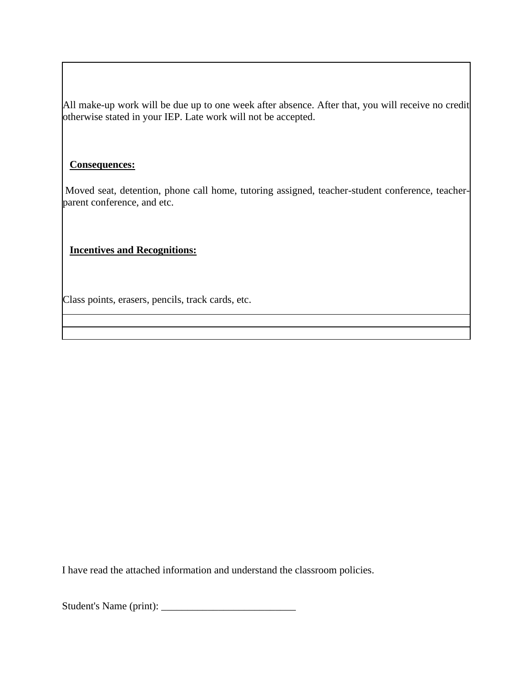All make-up work will be due up to one week after absence. After that, you will receive no credit otherwise stated in your IEP. Late work will not be accepted.

#### **Consequences:**

Moved seat, detention, phone call home, tutoring assigned, teacher-student conference, teacherparent conference, and etc.

#### **Incentives and Recognitions:**

Class points, erasers, pencils, track cards, etc.

I have read the attached information and understand the classroom policies.

Student's Name (print): \_\_\_\_\_\_\_\_\_\_\_\_\_\_\_\_\_\_\_\_\_\_\_\_\_\_